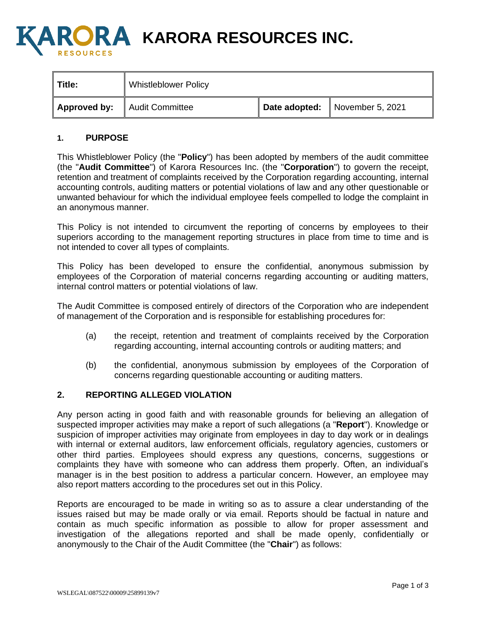

**A KARORA RESOURCES INC.** 

| Title: | Whistleblower Policy                |                                |
|--------|-------------------------------------|--------------------------------|
|        | <b>Approved by:</b> Audit Committee | Date adopted: November 5, 2021 |

#### **1. PURPOSE**

This Whistleblower Policy (the "**Policy**") has been adopted by members of the audit committee (the "**Audit Committee**") of Karora Resources Inc. (the "**Corporation**") to govern the receipt, retention and treatment of complaints received by the Corporation regarding accounting, internal accounting controls, auditing matters or potential violations of law and any other questionable or unwanted behaviour for which the individual employee feels compelled to lodge the complaint in an anonymous manner.

This Policy is not intended to circumvent the reporting of concerns by employees to their superiors according to the management reporting structures in place from time to time and is not intended to cover all types of complaints.

This Policy has been developed to ensure the confidential, anonymous submission by employees of the Corporation of material concerns regarding accounting or auditing matters, internal control matters or potential violations of law.

The Audit Committee is composed entirely of directors of the Corporation who are independent of management of the Corporation and is responsible for establishing procedures for:

- (a) the receipt, retention and treatment of complaints received by the Corporation regarding accounting, internal accounting controls or auditing matters; and
- (b) the confidential, anonymous submission by employees of the Corporation of concerns regarding questionable accounting or auditing matters.

# **2. REPORTING ALLEGED VIOLATION**

Any person acting in good faith and with reasonable grounds for believing an allegation of suspected improper activities may make a report of such allegations (a "**Report**"). Knowledge or suspicion of improper activities may originate from employees in day to day work or in dealings with internal or external auditors, law enforcement officials, regulatory agencies, customers or other third parties. Employees should express any questions, concerns, suggestions or complaints they have with someone who can address them properly. Often, an individual's manager is in the best position to address a particular concern. However, an employee may also report matters according to the procedures set out in this Policy.

Reports are encouraged to be made in writing so as to assure a clear understanding of the issues raised but may be made orally or via email. Reports should be factual in nature and contain as much specific information as possible to allow for proper assessment and investigation of the allegations reported and shall be made openly, confidentially or anonymously to the Chair of the Audit Committee (the "**Chair**") as follows: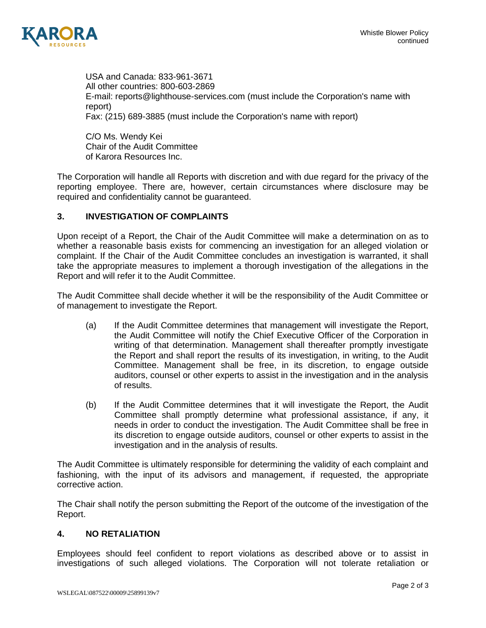

USA and Canada: 833-961-3671 All other countries: 800-603-2869 E-mail: reports@lighthouse-services.com (must include the Corporation's name with report) Fax: (215) 689-3885 (must include the Corporation's name with report)

C/O Ms. Wendy Kei Chair of the Audit Committee of Karora Resources Inc.

The Corporation will handle all Reports with discretion and with due regard for the privacy of the reporting employee. There are, however, certain circumstances where disclosure may be required and confidentiality cannot be guaranteed.

## **3. INVESTIGATION OF COMPLAINTS**

Upon receipt of a Report, the Chair of the Audit Committee will make a determination on as to whether a reasonable basis exists for commencing an investigation for an alleged violation or complaint. If the Chair of the Audit Committee concludes an investigation is warranted, it shall take the appropriate measures to implement a thorough investigation of the allegations in the Report and will refer it to the Audit Committee.

The Audit Committee shall decide whether it will be the responsibility of the Audit Committee or of management to investigate the Report.

- (a) If the Audit Committee determines that management will investigate the Report, the Audit Committee will notify the Chief Executive Officer of the Corporation in writing of that determination. Management shall thereafter promptly investigate the Report and shall report the results of its investigation, in writing, to the Audit Committee. Management shall be free, in its discretion, to engage outside auditors, counsel or other experts to assist in the investigation and in the analysis of results.
- (b) If the Audit Committee determines that it will investigate the Report, the Audit Committee shall promptly determine what professional assistance, if any, it needs in order to conduct the investigation. The Audit Committee shall be free in its discretion to engage outside auditors, counsel or other experts to assist in the investigation and in the analysis of results.

The Audit Committee is ultimately responsible for determining the validity of each complaint and fashioning, with the input of its advisors and management, if requested, the appropriate corrective action.

The Chair shall notify the person submitting the Report of the outcome of the investigation of the Report.

## **4. NO RETALIATION**

Employees should feel confident to report violations as described above or to assist in investigations of such alleged violations. The Corporation will not tolerate retaliation or